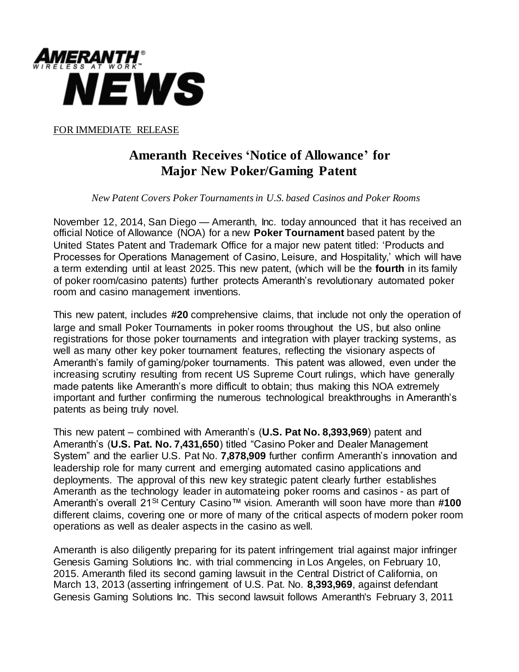

FOR IMMEDIATE RELEASE

## **Ameranth Receives 'Notice of Allowance' for Major New Poker/Gaming Patent**

 *New Patent Covers Poker Tournaments in U.S. based Casinos and Poker Rooms* 

November 12, 2014, San Diego — Ameranth, Inc. today announced that it has received an official Notice of Allowance (NOA) for a new **Poker Tournament** based patent by the United States Patent and Trademark Office for a major new patent titled: 'Products and Processes for Operations Management of Casino, Leisure, and Hospitality,' which will have a term extending until at least 2025. This new patent, (which will be the **fourth** in its family of poker room/casino patents) further protects Ameranth's revolutionary automated poker room and casino management inventions.

This new patent, includes **#20** comprehensive claims, that include not only the operation of large and small Poker Tournaments in poker rooms throughout the US, but also online registrations for those poker tournaments and integration with player tracking systems, as well as many other key poker tournament features, reflecting the visionary aspects of Ameranth's family of gaming/poker tournaments. This patent was allowed, even under the increasing scrutiny resulting from recent US Supreme Court rulings, which have generally made patents like Ameranth's more difficult to obtain; thus making this NOA extremely important and further confirming the numerous technological breakthroughs in Ameranth's patents as being truly novel.

This new patent – combined with Ameranth's (**U.S. Pat No. 8,393,969**) patent and Ameranth's (**U.S. Pat. No. 7,431,650**) titled "Casino Poker and Dealer Management System" and the earlier U.S. Pat No. **7,878,909** further confirm Ameranth's innovation and leadership role for many current and emerging automated casino applications and deployments. The approval of this new key strategic patent clearly further establishes Ameranth as the technology leader in automateing poker rooms and casinos - as part of Ameranth's overall 21St Century Casino™ vision. Ameranth will soon have more than **#100** different claims, covering one or more of many of the critical aspects of modern poker room operations as well as dealer aspects in the casino as well.

Ameranth is also diligently preparing for its patent infringement trial against major infringer Genesis Gaming Solutions Inc. with trial commencing in Los Angeles, on February 10, 2015. Ameranth filed its second gaming lawsuit in the Central District of California, on March 13, 2013 (asserting infringement of U.S. Pat. No. **8,393,969**, against defendant Genesis Gaming Solutions Inc. This second lawsuit follows Ameranth's February 3, 2011